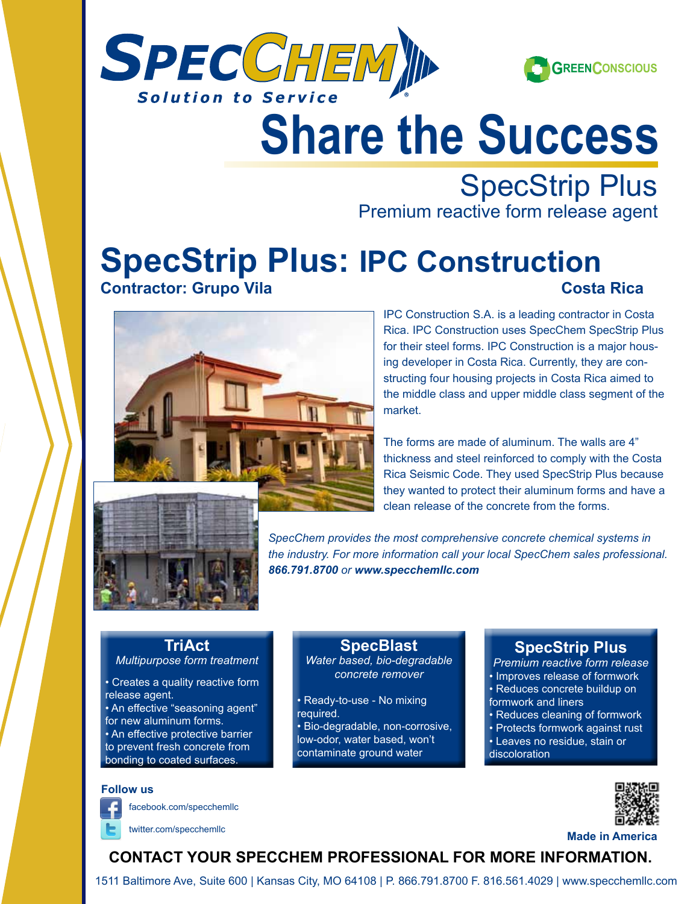



# Share the Succe **Share the Success**

**SpecStrip Plus**<br> **SpecStrip Plus**<br> **SpecStrip Plus** 

Premium reactive form release agent

## **SpecStrip Plus: IPC Construction Contractor - Bergelund Company**<br>Company **Company Contractor: Grupo Vila Costa Rica**



the middle class and upper middle class segment of the **MORE THAN 1999 BAGGEER IS A LIST OF A LIST OF A LIST OF A LIST OF A LIST OF A LIST OF A LIST OF A LIST OF A LIST OF A LIST OF A LIST OF A LIST OF A LIST OF A LIST OF A LIST OF A LIST OF A LIST OF A LIST OF A LIST OF A LIS** Rica. IPC Construction uses SpecChem SpecStrip Plus for their steel forms. IPC Construction is a major housstructing four housing projects in Costa Rica aimed to market.

> clean release of the concrete from the forms. The forms are made of aluminum. The walls are 4" thickness and steel reinforced to comply with the Costa Rica Seismic Code. They used SpecStrip Plus because they wanted to protect their aluminum forms and have a



sixth circuit court of appeals. the industry. For more information call your local SpecChem sales professional.<br>
<u>cases as serves</u> performance allowed Berglund Construction *866.791.8700 or www.specchemllc.com SpecChem provides the most comprehensive concrete chemical systems in* 

## **TriAct**

- *Multipurpose form treatment*
- Creates a quality reactive form release agent.
- An effective "seasoning agent" for new aluminum forms. • An effective protective barrier to prevent fresh concrete from
- bonding to coated surfaces.

#### **Follow us**

facebook.com/specchemllc

### **SpecBlast**

**Water based, bio-degradable Premium rea** *concrete remover*

- low-odor, water based, won't • Ready-to-use - No mixing required. • Bio-degradable, non-corrosive,
- **Example additional administer ground water** and abiscoloration

## **ability to be application of the SpecStrip Plus**

self-leveling performance, ample work time and

*Premium reactive form release* • Improves release of formwork • Reduces concrete buildup on formwork and liners

- Reduces cleaning of formwork
- Protects formwork against rust
- Leaves no residue, stain or
- discoloration



**twitter.com/specchemllc Made in America** 

## **Contact your SpecChem professional for more information.**

1511 Baltimore Ave, Suite 600 | Kansas City, MO 64108 | P. 866.791.8700 F. 816.561.4029 | www.specchemllc.com